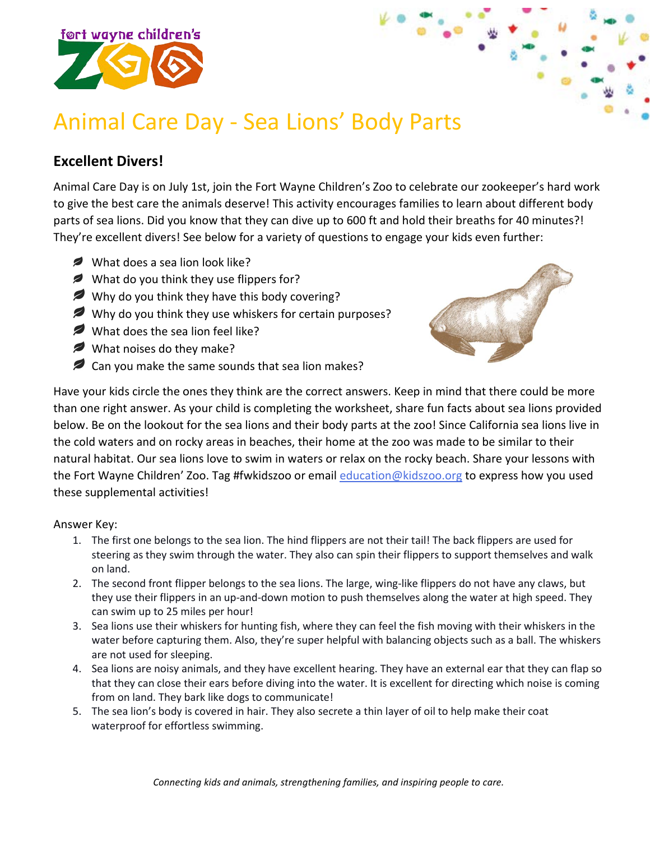

## Animal Care Day - Sea Lions' Body Parts

## **Excellent Divers!**

Animal Care Day is on July 1st, join the Fort Wayne Children's Zoo to celebrate our zookeeper's hard work to give the best care the animals deserve! This activity encourages families to learn about different body parts of sea lions. Did you know that they can dive up to 600 ft and hold their breaths for 40 minutes?! They're excellent divers! See below for a variety of questions to engage your kids even further:

- What does a sea lion look like?
- What do you think they use flippers for?
- Why do you think they have this body covering?
- Why do you think they use whiskers for certain purposes?
- What does the sea lion feel like?
- What noises do they make?
- P Can you make the same sounds that sea lion makes?



Have your kids circle the ones they think are the correct answers. Keep in mind that there could be more than one right answer. As your child is completing the worksheet, share fun facts about sea lions provided below. Be on the lookout for the sea lions and their body parts at the zoo! Since California sea lions live in the cold waters and on rocky areas in beaches, their home at the zoo was made to be similar to their natural habitat. Our sea lions love to swim in waters or relax on the rocky beach. Share your lessons with the Fort Wayne Children' Zoo. Tag #fwkidszoo or email [education@kidszoo.org](mailto:education@kidszoo.org) to express how you used these supplemental activities!

## Answer Key:

- 1. The first one belongs to the sea lion. The hind flippers are not their tail! The back flippers are used for steering as they swim through the water. They also can spin their flippers to support themselves and walk on land.
- 2. The second front flipper belongs to the sea lions. The large, wing-like flippers do not have any claws, but they use their flippers in an up-and-down motion to push themselves along the water at high speed. They can swim up to 25 miles per hour!
- 3. Sea lions use their whiskers for hunting fish, where they can feel the fish moving with their whiskers in the water before capturing them. Also, they're super helpful with balancing objects such as a ball. The whiskers are not used for sleeping.
- 4. Sea lions are noisy animals, and they have excellent hearing. They have an external ear that they can flap so that they can close their ears before diving into the water. It is excellent for directing which noise is coming from on land. They bark like dogs to communicate!
- 5. The sea lion's body is covered in hair. They also secrete a thin layer of oil to help make their coat waterproof for effortless swimming.